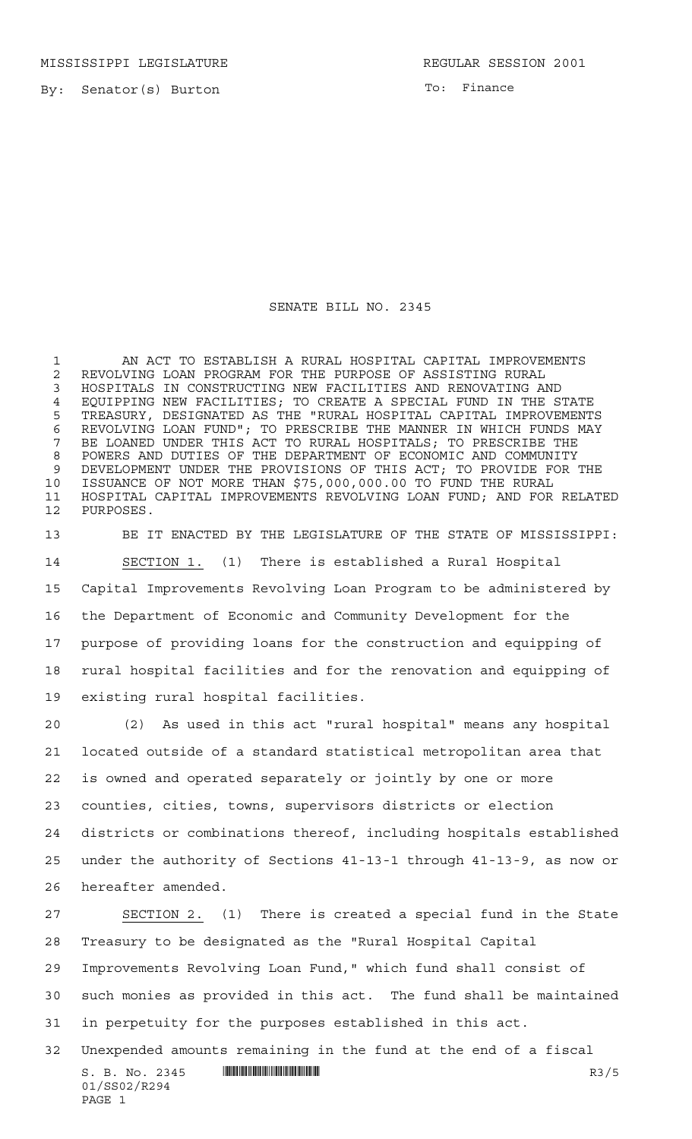MISSISSIPPI LEGISLATURE **REGULAR SESSION 2001** 

By: Senator(s) Burton

To: Finance

## SENATE BILL NO. 2345

 AN ACT TO ESTABLISH A RURAL HOSPITAL CAPITAL IMPROVEMENTS REVOLVING LOAN PROGRAM FOR THE PURPOSE OF ASSISTING RURAL HOSPITALS IN CONSTRUCTING NEW FACILITIES AND RENOVATING AND 4 EQUIPPING NEW FACILITIES; TO CREATE A SPECIAL FUND IN THE STATE<br>5 TREASURY, DESIGNATED AS THE "RURAL HOSPITAL CAPITAL IMPROVEMENT: TREASURY, DESIGNATED AS THE "RURAL HOSPITAL CAPITAL IMPROVEMENTS 6 REVOLVING LOAN FUND"; TO PRESCRIBE THE MANNER IN WHICH FUNDS MAY<br>7 BE LOANED UNDER THIS ACT TO RURAL HOSPITALS; TO PRESCRIBE THE BE LOANED UNDER THIS ACT TO RURAL HOSPITALS; TO PRESCRIBE THE POWERS AND DUTIES OF THE DEPARTMENT OF ECONOMIC AND COMMUNITY DEVELOPMENT UNDER THE PROVISIONS OF THIS ACT; TO PROVIDE FOR THE ISSUANCE OF NOT MORE THAN \$75,000,000.00 TO FUND THE RURAL HOSPITAL CAPITAL IMPROVEMENTS REVOLVING LOAN FUND; AND FOR RELATED PURPOSES.

 BE IT ENACTED BY THE LEGISLATURE OF THE STATE OF MISSISSIPPI: SECTION 1. (1) There is established a Rural Hospital Capital Improvements Revolving Loan Program to be administered by the Department of Economic and Community Development for the purpose of providing loans for the construction and equipping of rural hospital facilities and for the renovation and equipping of existing rural hospital facilities.

 (2) As used in this act "rural hospital" means any hospital located outside of a standard statistical metropolitan area that is owned and operated separately or jointly by one or more counties, cities, towns, supervisors districts or election districts or combinations thereof, including hospitals established under the authority of Sections 41-13-1 through 41-13-9, as now or hereafter amended.

 SECTION 2. (1) There is created a special fund in the State Treasury to be designated as the "Rural Hospital Capital Improvements Revolving Loan Fund," which fund shall consist of such monies as provided in this act. The fund shall be maintained in perpetuity for the purposes established in this act. Unexpended amounts remaining in the fund at the end of a fiscal

 $S. B. No. 2345$   $\blacksquare$   $\blacksquare$   $\blacksquare$   $\blacksquare$   $\blacksquare$   $\blacksquare$   $\blacksquare$   $\blacksquare$   $\blacksquare$   $\blacksquare$   $\blacksquare$   $\blacksquare$   $\blacksquare$   $\blacksquare$   $\blacksquare$   $\blacksquare$   $\blacksquare$   $\blacksquare$   $\blacksquare$   $\blacksquare$   $\blacksquare$   $\blacksquare$   $\blacksquare$   $\blacksquare$   $\blacksquare$   $\blacksquare$   $\blacksquare$   $\blacksquare$   $\blacksquare$   $\blacks$ 01/SS02/R294 PAGE 1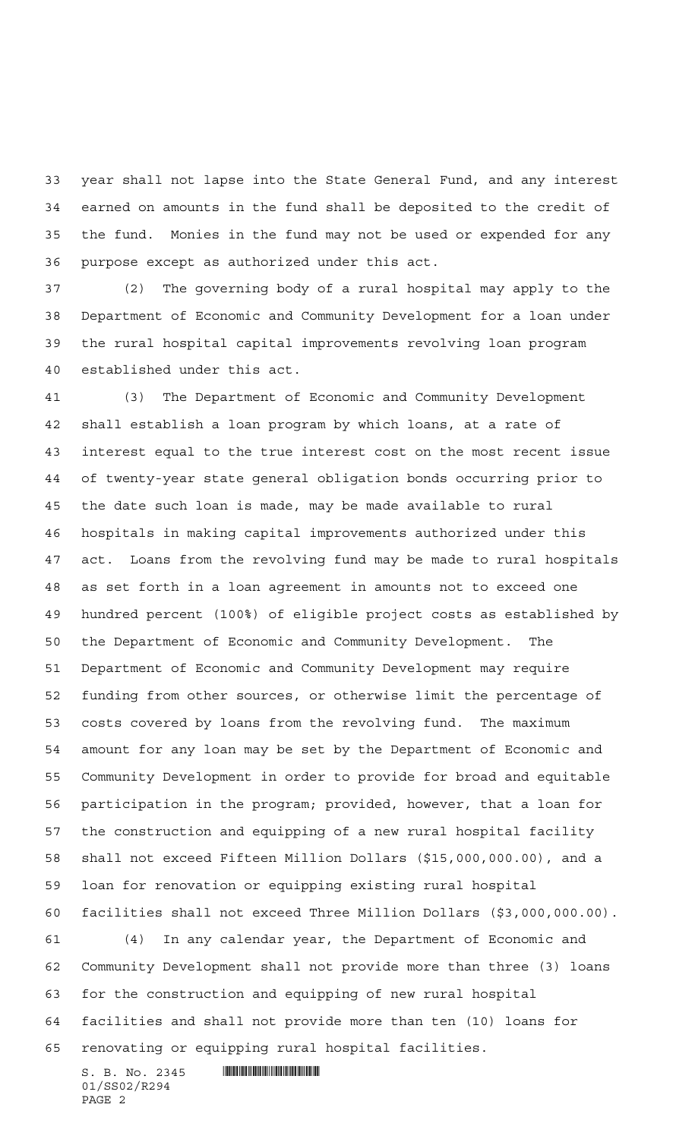year shall not lapse into the State General Fund, and any interest earned on amounts in the fund shall be deposited to the credit of the fund. Monies in the fund may not be used or expended for any purpose except as authorized under this act.

 (2) The governing body of a rural hospital may apply to the Department of Economic and Community Development for a loan under the rural hospital capital improvements revolving loan program established under this act.

 (3) The Department of Economic and Community Development shall establish a loan program by which loans, at a rate of interest equal to the true interest cost on the most recent issue of twenty-year state general obligation bonds occurring prior to the date such loan is made, may be made available to rural hospitals in making capital improvements authorized under this act. Loans from the revolving fund may be made to rural hospitals as set forth in a loan agreement in amounts not to exceed one hundred percent (100%) of eligible project costs as established by the Department of Economic and Community Development. The Department of Economic and Community Development may require funding from other sources, or otherwise limit the percentage of costs covered by loans from the revolving fund. The maximum amount for any loan may be set by the Department of Economic and Community Development in order to provide for broad and equitable participation in the program; provided, however, that a loan for the construction and equipping of a new rural hospital facility shall not exceed Fifteen Million Dollars (\$15,000,000.00), and a loan for renovation or equipping existing rural hospital facilities shall not exceed Three Million Dollars (\$3,000,000.00). (4) In any calendar year, the Department of Economic and

 Community Development shall not provide more than three (3) loans for the construction and equipping of new rural hospital facilities and shall not provide more than ten (10) loans for renovating or equipping rural hospital facilities.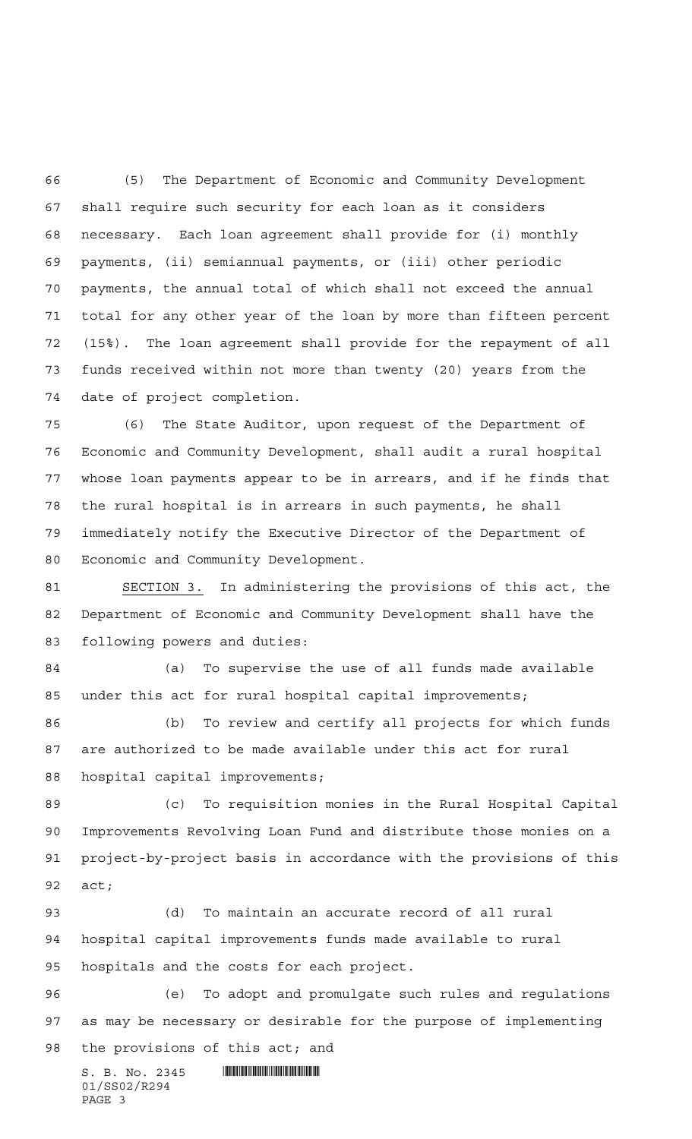(5) The Department of Economic and Community Development shall require such security for each loan as it considers necessary. Each loan agreement shall provide for (i) monthly payments, (ii) semiannual payments, or (iii) other periodic payments, the annual total of which shall not exceed the annual total for any other year of the loan by more than fifteen percent (15%). The loan agreement shall provide for the repayment of all funds received within not more than twenty (20) years from the date of project completion.

 (6) The State Auditor, upon request of the Department of Economic and Community Development, shall audit a rural hospital whose loan payments appear to be in arrears, and if he finds that the rural hospital is in arrears in such payments, he shall immediately notify the Executive Director of the Department of Economic and Community Development.

 SECTION 3. In administering the provisions of this act, the Department of Economic and Community Development shall have the following powers and duties:

 (a) To supervise the use of all funds made available under this act for rural hospital capital improvements;

 (b) To review and certify all projects for which funds are authorized to be made available under this act for rural hospital capital improvements;

 (c) To requisition monies in the Rural Hospital Capital Improvements Revolving Loan Fund and distribute those monies on a project-by-project basis in accordance with the provisions of this act;

 (d) To maintain an accurate record of all rural hospital capital improvements funds made available to rural hospitals and the costs for each project.

 (e) To adopt and promulgate such rules and regulations as may be necessary or desirable for the purpose of implementing the provisions of this act; and

 $S. B. No. 2345$  . Suppose the set of  $S. B. N_O. 2345$ 01/SS02/R294 PAGE 3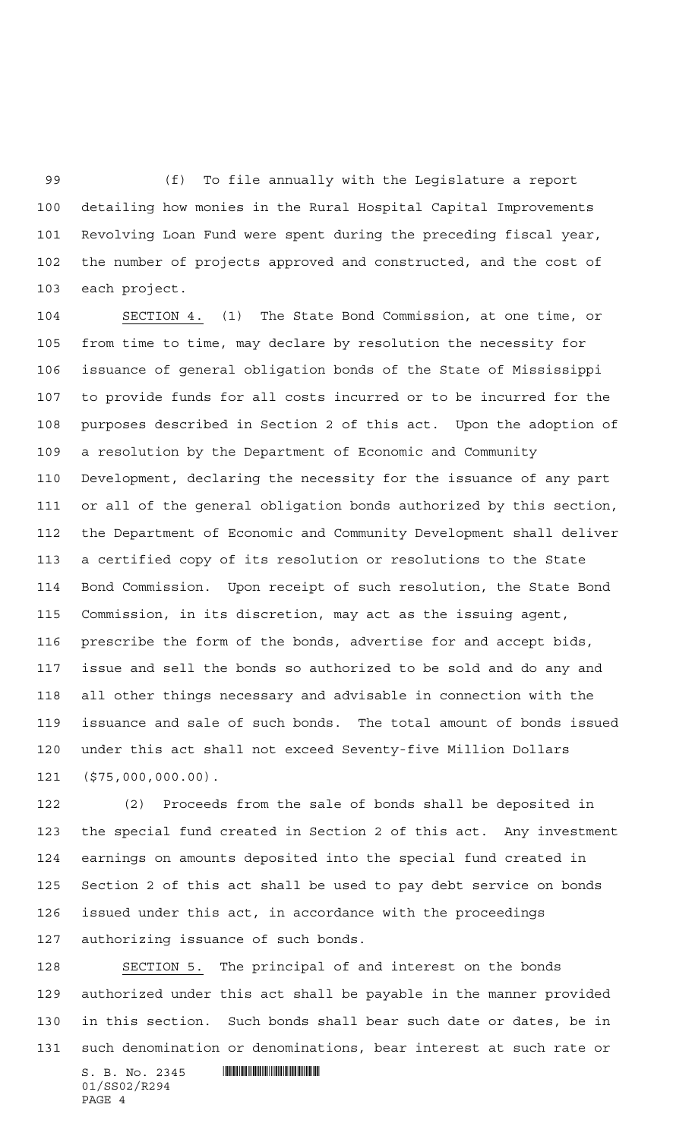(f) To file annually with the Legislature a report detailing how monies in the Rural Hospital Capital Improvements Revolving Loan Fund were spent during the preceding fiscal year, the number of projects approved and constructed, and the cost of each project.

 SECTION 4. (1) The State Bond Commission, at one time, or from time to time, may declare by resolution the necessity for issuance of general obligation bonds of the State of Mississippi to provide funds for all costs incurred or to be incurred for the purposes described in Section 2 of this act. Upon the adoption of a resolution by the Department of Economic and Community Development, declaring the necessity for the issuance of any part or all of the general obligation bonds authorized by this section, the Department of Economic and Community Development shall deliver a certified copy of its resolution or resolutions to the State Bond Commission. Upon receipt of such resolution, the State Bond Commission, in its discretion, may act as the issuing agent, prescribe the form of the bonds, advertise for and accept bids, issue and sell the bonds so authorized to be sold and do any and all other things necessary and advisable in connection with the issuance and sale of such bonds. The total amount of bonds issued under this act shall not exceed Seventy-five Million Dollars (\$75,000,000.00).

 (2) Proceeds from the sale of bonds shall be deposited in the special fund created in Section 2 of this act. Any investment earnings on amounts deposited into the special fund created in Section 2 of this act shall be used to pay debt service on bonds issued under this act, in accordance with the proceedings authorizing issuance of such bonds.

 $S. B. No. 2345$  . So  $R^2$  SECTION 5. The principal of and interest on the bonds authorized under this act shall be payable in the manner provided in this section. Such bonds shall bear such date or dates, be in such denomination or denominations, bear interest at such rate or

01/SS02/R294 PAGE 4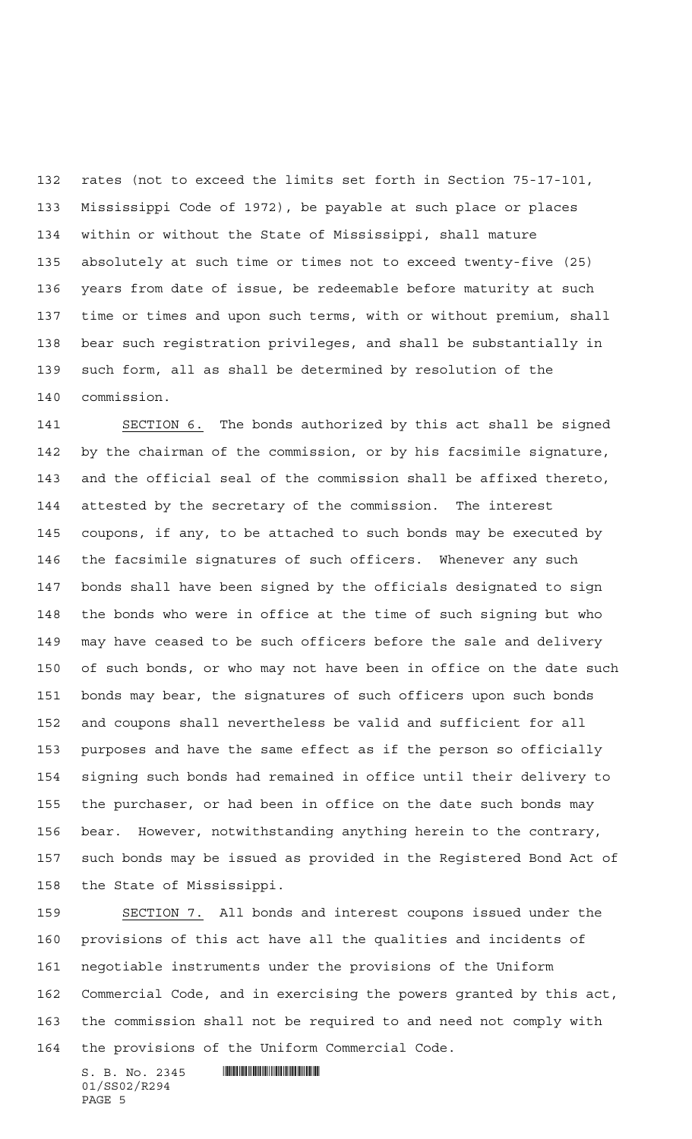rates (not to exceed the limits set forth in Section 75-17-101, Mississippi Code of 1972), be payable at such place or places within or without the State of Mississippi, shall mature absolutely at such time or times not to exceed twenty-five (25) years from date of issue, be redeemable before maturity at such time or times and upon such terms, with or without premium, shall bear such registration privileges, and shall be substantially in such form, all as shall be determined by resolution of the commission.

 SECTION 6. The bonds authorized by this act shall be signed by the chairman of the commission, or by his facsimile signature, and the official seal of the commission shall be affixed thereto, attested by the secretary of the commission. The interest coupons, if any, to be attached to such bonds may be executed by the facsimile signatures of such officers. Whenever any such bonds shall have been signed by the officials designated to sign the bonds who were in office at the time of such signing but who may have ceased to be such officers before the sale and delivery of such bonds, or who may not have been in office on the date such bonds may bear, the signatures of such officers upon such bonds and coupons shall nevertheless be valid and sufficient for all purposes and have the same effect as if the person so officially signing such bonds had remained in office until their delivery to the purchaser, or had been in office on the date such bonds may bear. However, notwithstanding anything herein to the contrary, such bonds may be issued as provided in the Registered Bond Act of the State of Mississippi.

 SECTION 7. All bonds and interest coupons issued under the provisions of this act have all the qualities and incidents of negotiable instruments under the provisions of the Uniform Commercial Code, and in exercising the powers granted by this act, the commission shall not be required to and need not comply with the provisions of the Uniform Commercial Code.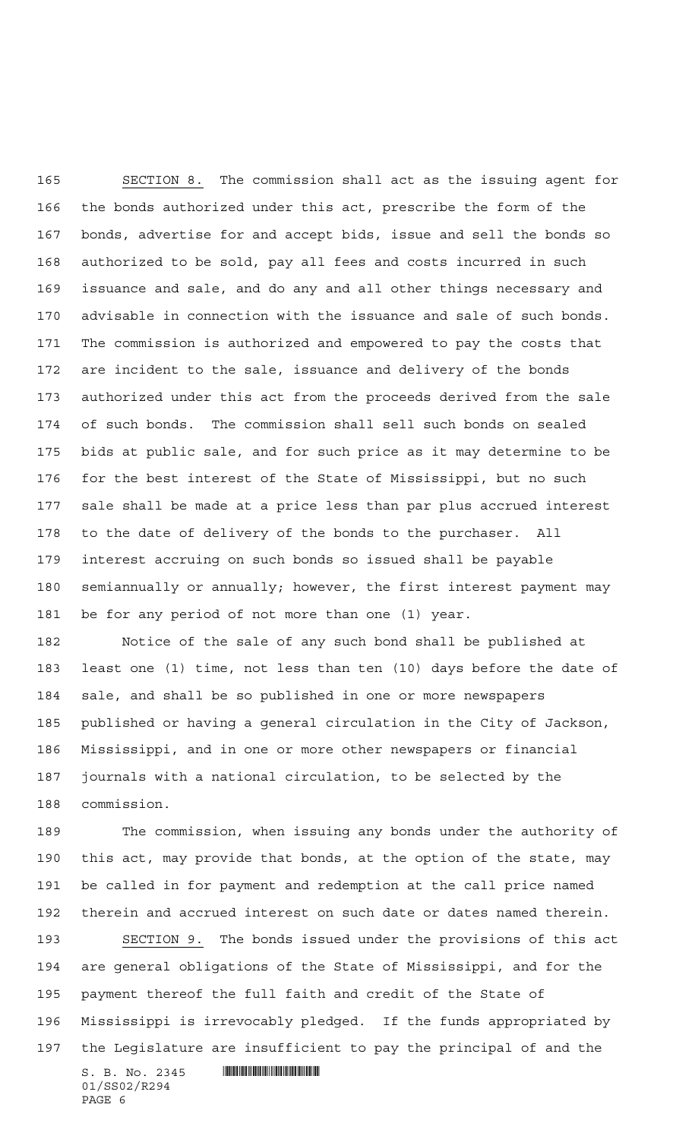SECTION 8. The commission shall act as the issuing agent for the bonds authorized under this act, prescribe the form of the bonds, advertise for and accept bids, issue and sell the bonds so authorized to be sold, pay all fees and costs incurred in such issuance and sale, and do any and all other things necessary and advisable in connection with the issuance and sale of such bonds. The commission is authorized and empowered to pay the costs that are incident to the sale, issuance and delivery of the bonds authorized under this act from the proceeds derived from the sale of such bonds. The commission shall sell such bonds on sealed bids at public sale, and for such price as it may determine to be for the best interest of the State of Mississippi, but no such sale shall be made at a price less than par plus accrued interest to the date of delivery of the bonds to the purchaser. All interest accruing on such bonds so issued shall be payable semiannually or annually; however, the first interest payment may be for any period of not more than one (1) year.

 Notice of the sale of any such bond shall be published at least one (1) time, not less than ten (10) days before the date of sale, and shall be so published in one or more newspapers published or having a general circulation in the City of Jackson, Mississippi, and in one or more other newspapers or financial journals with a national circulation, to be selected by the commission.

 The commission, when issuing any bonds under the authority of this act, may provide that bonds, at the option of the state, may be called in for payment and redemption at the call price named therein and accrued interest on such date or dates named therein.

 SECTION 9. The bonds issued under the provisions of this act are general obligations of the State of Mississippi, and for the payment thereof the full faith and credit of the State of Mississippi is irrevocably pledged. If the funds appropriated by the Legislature are insufficient to pay the principal of and the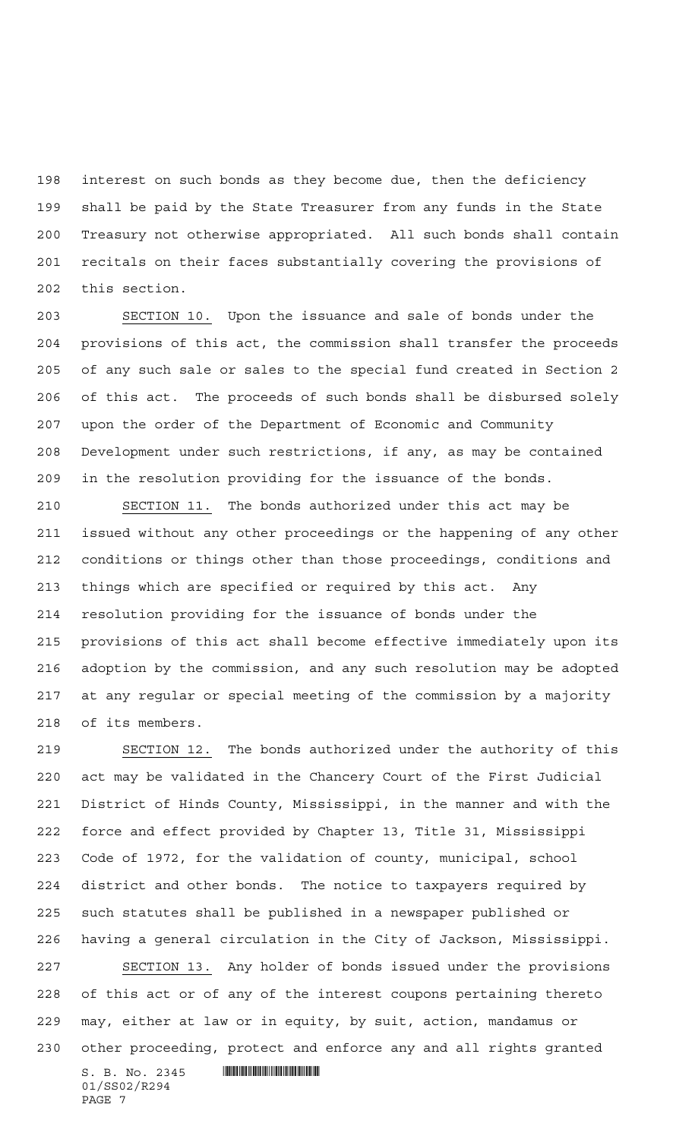interest on such bonds as they become due, then the deficiency shall be paid by the State Treasurer from any funds in the State Treasury not otherwise appropriated. All such bonds shall contain recitals on their faces substantially covering the provisions of this section.

 SECTION 10. Upon the issuance and sale of bonds under the provisions of this act, the commission shall transfer the proceeds of any such sale or sales to the special fund created in Section 2 of this act. The proceeds of such bonds shall be disbursed solely upon the order of the Department of Economic and Community Development under such restrictions, if any, as may be contained in the resolution providing for the issuance of the bonds.

 SECTION 11. The bonds authorized under this act may be issued without any other proceedings or the happening of any other conditions or things other than those proceedings, conditions and things which are specified or required by this act. Any resolution providing for the issuance of bonds under the provisions of this act shall become effective immediately upon its adoption by the commission, and any such resolution may be adopted at any regular or special meeting of the commission by a majority of its members.

 $S. B. No. 2345$  . So  $R^2$  SECTION 12. The bonds authorized under the authority of this act may be validated in the Chancery Court of the First Judicial District of Hinds County, Mississippi, in the manner and with the force and effect provided by Chapter 13, Title 31, Mississippi Code of 1972, for the validation of county, municipal, school district and other bonds. The notice to taxpayers required by such statutes shall be published in a newspaper published or having a general circulation in the City of Jackson, Mississippi. SECTION 13. Any holder of bonds issued under the provisions of this act or of any of the interest coupons pertaining thereto may, either at law or in equity, by suit, action, mandamus or other proceeding, protect and enforce any and all rights granted

01/SS02/R294 PAGE 7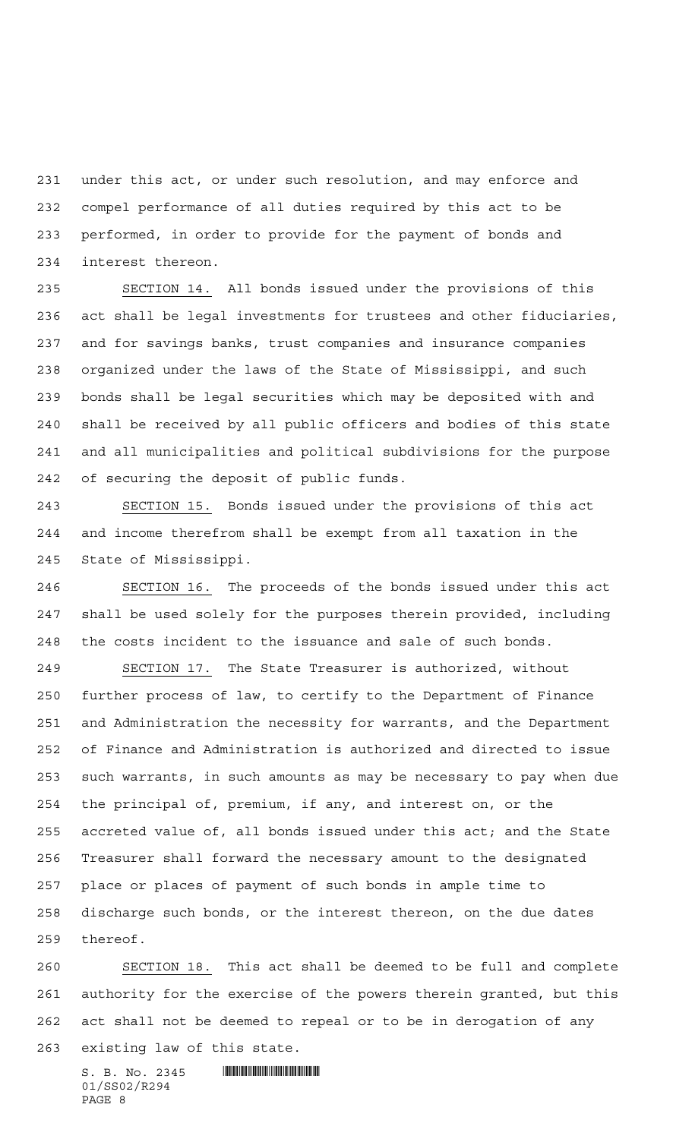under this act, or under such resolution, and may enforce and compel performance of all duties required by this act to be performed, in order to provide for the payment of bonds and interest thereon.

 SECTION 14. All bonds issued under the provisions of this act shall be legal investments for trustees and other fiduciaries, and for savings banks, trust companies and insurance companies organized under the laws of the State of Mississippi, and such bonds shall be legal securities which may be deposited with and shall be received by all public officers and bodies of this state and all municipalities and political subdivisions for the purpose of securing the deposit of public funds.

 SECTION 15. Bonds issued under the provisions of this act and income therefrom shall be exempt from all taxation in the State of Mississippi.

 SECTION 16. The proceeds of the bonds issued under this act shall be used solely for the purposes therein provided, including the costs incident to the issuance and sale of such bonds.

 SECTION 17. The State Treasurer is authorized, without further process of law, to certify to the Department of Finance and Administration the necessity for warrants, and the Department of Finance and Administration is authorized and directed to issue such warrants, in such amounts as may be necessary to pay when due the principal of, premium, if any, and interest on, or the accreted value of, all bonds issued under this act; and the State Treasurer shall forward the necessary amount to the designated place or places of payment of such bonds in ample time to discharge such bonds, or the interest thereon, on the due dates thereof.

 SECTION 18. This act shall be deemed to be full and complete authority for the exercise of the powers therein granted, but this act shall not be deemed to repeal or to be in derogation of any

existing law of this state.